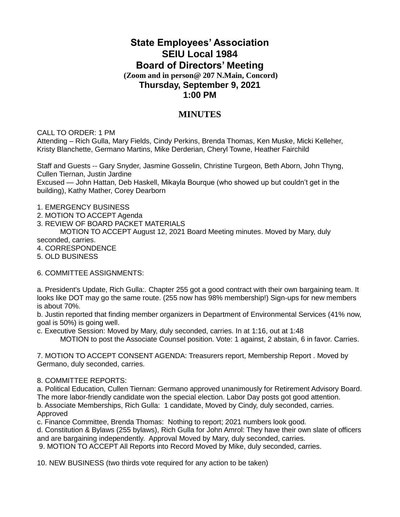## **State Employees' Association SEIU Local 1984 Board of Directors' Meeting (Zoom and in person@ 207 N.Main, Concord)**

## **Thursday, September 9, 2021 1:00 PM**

## **MINUTES**

CALL TO ORDER: 1 PM

Attending – Rich Gulla, Mary Fields, Cindy Perkins, Brenda Thomas, Ken Muske, Micki Kelleher, Kristy Blanchette, Germano Martins, Mike Derderian, Cheryl Towne, Heather Fairchild

Staff and Guests -- Gary Snyder, Jasmine Gosselin, Christine Turgeon, Beth Aborn, John Thyng, Cullen Tiernan, Justin Jardine Excused — John Hattan, Deb Haskell, Mikayla Bourque (who showed up but couldn't get in the building), Kathy Mather, Corey Dearborn

1. EMERGENCY BUSINESS

- 2. MOTION TO ACCEPT Agenda
- 3. REVIEW OF BOARD PACKET MATERIALS

MOTION TO ACCEPT August 12, 2021 Board Meeting minutes. Moved by Mary, duly seconded, carries.

- 4. CORRESPONDENCE
- 5. OLD BUSINESS

6. COMMITTEE ASSIGNMENTS:

a. President's Update, Rich Gulla:. Chapter 255 got a good contract with their own bargaining team. It looks like DOT may go the same route. (255 now has 98% membership!) Sign-ups for new members is about 70%.

b. Justin reported that finding member organizers in Department of Environmental Services (41% now, goal is 50%) is going well.

c. Executive Session: Moved by Mary, duly seconded, carries. In at 1:16, out at 1:48

MOTION to post the Associate Counsel position. Vote: 1 against, 2 abstain, 6 in favor. Carries.

7. MOTION TO ACCEPT CONSENT AGENDA: Treasurers report, Membership Report . Moved by Germano, duly seconded, carries.

## 8. COMMITTEE REPORTS:

a. Political Education, Cullen Tiernan: Germano approved unanimously for Retirement Advisory Board. The more labor-friendly candidate won the special election. Labor Day posts got good attention. b. Associate Memberships, Rich Gulla: 1 candidate, Moved by Cindy, duly seconded, carries.

Approved

c. Finance Committee, Brenda Thomas: Nothing to report; 2021 numbers look good.

d. Constitution & Bylaws (255 bylaws), Rich Gulla for John Amrol: They have their own slate of officers and are bargaining independently. Approval Moved by Mary, duly seconded, carries.

9. MOTION TO ACCEPT All Reports into Record Moved by Mike, duly seconded, carries.

10. NEW BUSINESS (two thirds vote required for any action to be taken)